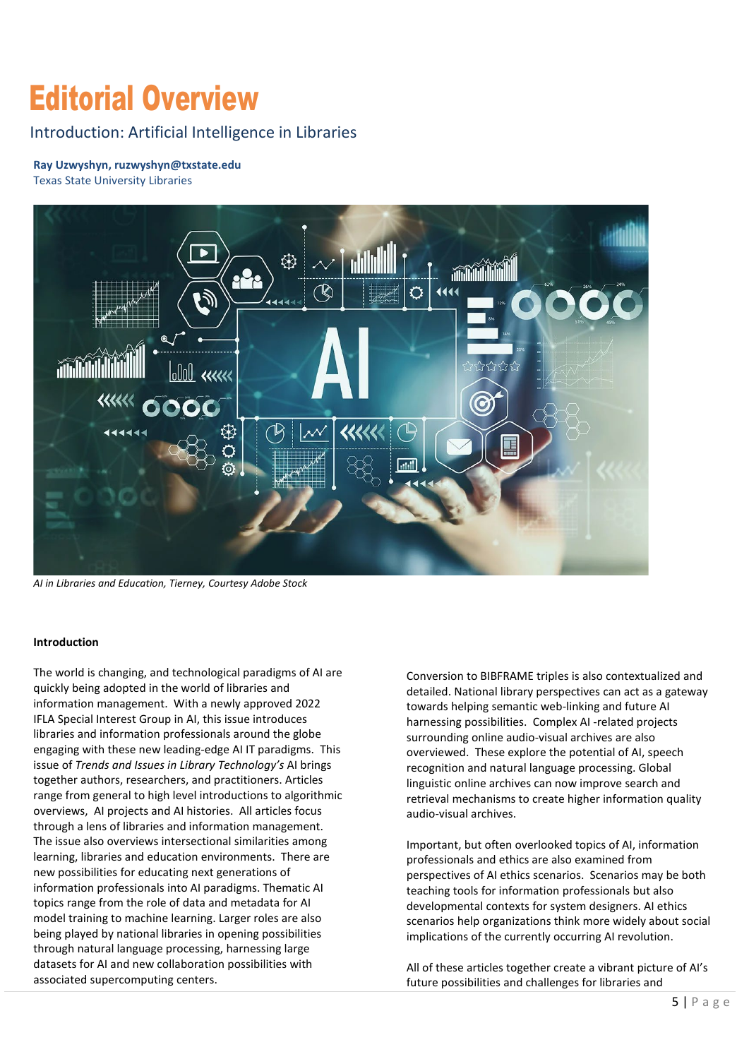# Editorial Overview

### Introduction: Artificial Intelligence in Libraries

## **Ray Uzwyshyn, [ruzwyshyn@txstate.edu](mailto:ruzwyshyn@txstate.edu)**

Texas State University Libraries



*AI in Libraries and Education, Tierney, Courtesy Adobe Stock* 

#### **Introduction**

 overviews, AI projects and AI histories. All articles focus being played by national libraries in opening possibilities associated supercomputing centers. The world is changing, and technological paradigms of AI are quickly being adopted in the world of libraries and information management. With a newly approved 2022 IFLA Special Interest Group in AI, this issue introduces libraries and information professionals around the globe engaging with these new leading-edge AI IT paradigms. This issue of *Trends and Issues in Library Technology's* AI brings together authors, researchers, and practitioners. Articles range from general to high level introductions to algorithmic through a lens of libraries and information management. The issue also overviews intersectional similarities among learning, libraries and education environments. There are new possibilities for educating next generations of information professionals into AI paradigms. Thematic AI topics range from the role of data and metadata for AI model training to machine learning. Larger roles are also through natural language processing, harnessing large datasets for AI and new collaboration possibilities with Ine word is changing, and tecnnological paradigms of A are<br>
in evoluted of libraries and<br>
information management. With a newly approved 2022<br>
in detailed. National library perspectives can act as a gatewar<br>
libraries and i

 detailed. National library perspectives can act as a gateway towards helping semantic web-linking and future AI overviewed. These explore the potential of AI, speech linguistic online archives can now improve search and retrieval mechanisms to create higher information quality audio-visual archives. harnessing possibilities. Complex AI -related projects surrounding online audio-visual archives are also recognition and natural language processing. Global

implications of the currently occurring AI revolution. Important, but often overlooked topics of AI, information professionals and ethics are also examined from perspectives of AI ethics scenarios. Scenarios may be both teaching tools for information professionals but also developmental contexts for system designers. AI ethics scenarios help organizations think more widely about social

implications of the currently occurring AI revolution.<br>All of these articles together create a vibrant picture of AI's future possibilities and challenges for libraries and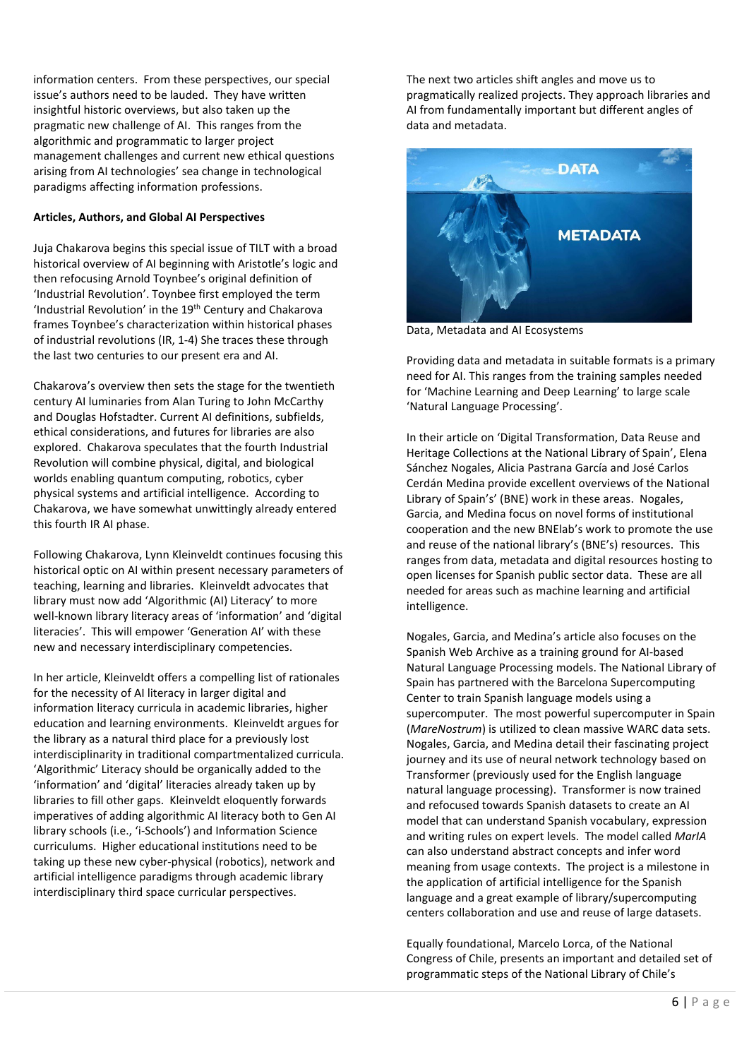paradigms affecting information professions. information centers. From these perspectives, our special issue's authors need to be lauded. They have written insightful historic overviews, but also taken up the pragmatic new challenge of AI. This ranges from the algorithmic and programmatic to larger project management challenges and current new ethical questions arising from AI technologies' sea change in technological

#### **Articles, Authors, and Global AI Perspectives**

 of industrial revolutions (IR, 1-4) She traces these through the last two centuries to our present era and AI. Juja Chakarova begins this special issue of TILT with a broad historical overview of AI beginning with Aristotle's logic and then refocusing Arnold Toynbee's original definition of 'Industrial Revolution'. Toynbee first employed the term 'Industrial Revolution' in the 19th Century and Chakarova frames Toynbee's characterization within historical phases

 ethical considerations, and futures for libraries are also this fourth IR AI phase. Chakarova's overview then sets the stage for the twentieth century AI luminaries from Alan Turing to John McCarthy and Douglas Hofstadter. Current AI definitions, subfields, explored. Chakarova speculates that the fourth Industrial Revolution will combine physical, digital, and biological worlds enabling quantum computing, robotics, cyber physical systems and artificial intelligence. According to Chakarova, we have somewhat unwittingly already entered

 literacies'. This will empower 'Generation AI' with these new and necessary interdisciplinary competencies. Following Chakarova, Lynn Kleinveldt continues focusing this historical optic on AI within present necessary parameters of teaching, learning and libraries. Kleinveldt advocates that library must now add 'Algorithmic (AI) Literacy' to more well-known library literacy areas of 'information' and 'digital

 interdisciplinarity in traditional compartmentalized curricula. 'Algorithmic' Literacy should be organically added to the 'information' and 'digital' literacies already taken up by In her article, Kleinveldt offers a compelling list of rationales for the necessity of AI literacy in larger digital and information literacy curricula in academic libraries, higher education and learning environments. Kleinveldt argues for the library as a natural third place for a previously lost libraries to fill other gaps. Kleinveldt eloquently forwards imperatives of adding algorithmic AI literacy both to Gen AI library schools (i.e., 'i-Schools') and Information Science curriculums. Higher educational institutions need to be taking up these new cyber-physical (robotics), network and artificial intelligence paradigms through academic library interdisciplinary third space curricular perspectives.

 AI from fundamentally important but different angles of data and metadata. The next two articles shift angles and move us to pragmatically realized projects. They approach libraries and



Providing data and metadata in suitable formats is a primary need for AI. This ranges from the training samples needed for 'Machine Learning and Deep Learning' to large scale 'Natural Language Processing'.

intelligence. In their article on 'Digital Transformation, Data Reuse and Heritage Collections at the National Library of Spain', Elena Sánchez Nogales, Alicia Pastrana García and José Carlos Cerdán Medina provide excellent overviews of the National Library of Spain's' (BNE) work in these areas. Nogales, Garcia, and Medina focus on novel forms of institutional cooperation and the new BNElab's work to promote the use and reuse of the national library's (BNE's) resources. This ranges from data, metadata and digital resources hosting to open licenses for Spanish public sector data. These are all needed for areas such as machine learning and artificial

(MareNostrum) is utilized to clean massive WARC data sets. centers collaboration and use and reuse of large datasets. Nogales, Garcia, and Medina's article also focuses on the Spanish Web Archive as a training ground for AI-based Natural Language Processing models. The National Library of Spain has partnered with the Barcelona Supercomputing Center to train Spanish language models using a supercomputer. The most powerful supercomputer in Spain Nogales, Garcia, and Medina detail their fascinating project journey and its use of neural network technology based on Transformer (previously used for the English language natural language processing). Transformer is now trained and refocused towards Spanish datasets to create an AI model that can understand Spanish vocabulary, expression and writing rules on expert levels. The model called *MarIA*  can also understand abstract concepts and infer word meaning from usage contexts. The project is a milestone in the application of artificial intelligence for the Spanish language and a great example of library/supercomputing

Equally foundational, Marcelo Lorca, of the National Congress of Chile, presents an important and detailed set of programmatic steps of the National Library of Chile's